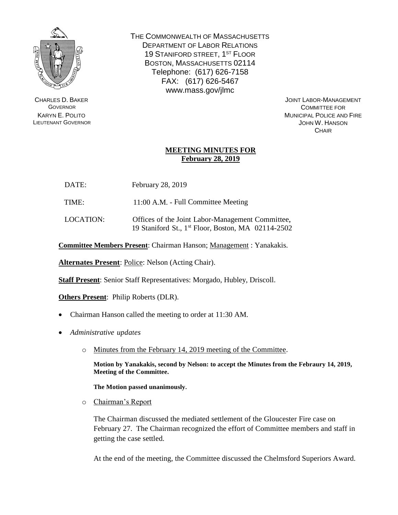

CHARLES D. BAKER **GOVERNOR** KARYN E. POLITO LIEUTENANT GOVERNOR THE COMMONWEALTH OF MASSACHUSETTS DEPARTMENT OF LABOR RELATIONS 19 STANIFORD STREET, 1<sup>ST</sup> FLOOR BOSTON, MASSACHUSETTS 02114 Telephone: (617) 626-7158 FAX: (617) 626-5467 www.mass.gov/jlmc

> JOINT LABOR-MANAGEMENT COMMITTEE FOR MUNICIPAL POLICE AND FIRE JOHN W. HANSON **CHAIR**

## **MEETING MINUTES FOR February 28, 2019**

| DATE: | February 28, 2019 |  |
|-------|-------------------|--|
|       |                   |  |

TIME: 11:00 A.M. - Full Committee Meeting

LOCATION: Offices of the Joint Labor-Management Committee, 19 Staniford St., 1 st Floor, Boston, MA 02114-2502

**Committee Members Present**: Chairman Hanson; Management : Yanakakis.

**Alternates Present**: Police: Nelson (Acting Chair).

**Staff Present**: Senior Staff Representatives: Morgado, Hubley, Driscoll.

**Others Present**: Philip Roberts (DLR).

- Chairman Hanson called the meeting to order at 11:30 AM.
- *Administrative updates*
	- o Minutes from the February 14, 2019 meeting of the Committee.

**Motion by Yanakakis, second by Nelson: to accept the Minutes from the Febraury 14, 2019, Meeting of the Committee.**

**The Motion passed unanimously.**

o Chairman's Report

The Chairman discussed the mediated settlement of the Gloucester Fire case on February 27. The Chairman recognized the effort of Committee members and staff in getting the case settled.

At the end of the meeting, the Committee discussed the Chelmsford Superiors Award.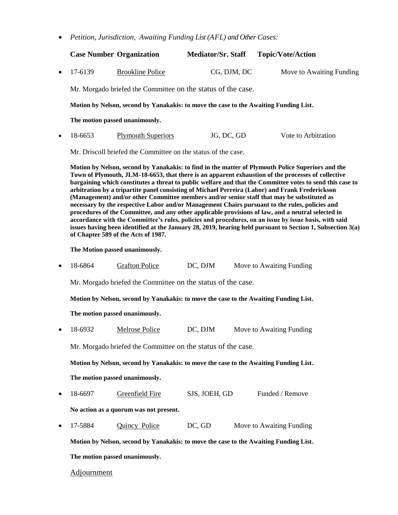• *Petition, Jurisdiction, Awaiting Funding List (AFL) and Other Cases:*

|           |                                                                                                                                                                                                                                                                                                                                                                                                                                                                                                                                                                                                                         | <b>Case Number Organization</b> | <b>Mediator/Sr. Staff</b> | <b>Topic/Vote/Action</b> |  |  |
|-----------|-------------------------------------------------------------------------------------------------------------------------------------------------------------------------------------------------------------------------------------------------------------------------------------------------------------------------------------------------------------------------------------------------------------------------------------------------------------------------------------------------------------------------------------------------------------------------------------------------------------------------|---------------------------------|---------------------------|--------------------------|--|--|
| $\bullet$ | 17-6139                                                                                                                                                                                                                                                                                                                                                                                                                                                                                                                                                                                                                 | <b>Brookline Police</b>         | CG, DJM, DC               | Move to Awaiting Funding |  |  |
|           | Mr. Morgado briefed the Committee on the status of the case.                                                                                                                                                                                                                                                                                                                                                                                                                                                                                                                                                            |                                 |                           |                          |  |  |
|           | Motion by Nelson, second by Yanakakis: to move the case to the Awaiting Funding List.                                                                                                                                                                                                                                                                                                                                                                                                                                                                                                                                   |                                 |                           |                          |  |  |
|           | The motion passed unanimously.                                                                                                                                                                                                                                                                                                                                                                                                                                                                                                                                                                                          |                                 |                           |                          |  |  |
| $\bullet$ | 18-6653                                                                                                                                                                                                                                                                                                                                                                                                                                                                                                                                                                                                                 | <b>Plymouth Superiors</b>       | JG, DC, GD                | Vote to Arbitration      |  |  |
|           | Mr. Driscoll briefed the Committee on the status of the case.                                                                                                                                                                                                                                                                                                                                                                                                                                                                                                                                                           |                                 |                           |                          |  |  |
|           | Motion by Nelson, second by Yanakakis: to find in the matter of Plymouth Police Superiors and the<br>Town of Plymouth, JLM-18-6653, that there is an apparent exhaustion of the processes of collective<br>bargaining which constitutes a threat to public welfare and that the Committee votes to send this case to<br>arbitration by a tripartite panel consisting of Michael Perreira (Labor) and Frank Frederickson<br>(Management) and/or other Committee members and/or senior staff that may be substituted as<br>necessary by the respective Labor and/or Management Chairs pursuant to the rules, policies and |                                 |                           |                          |  |  |

**necessary by the respective Labor and/or Management Chairs pursuant to the rules, policies and procedures of the Committee, and any other applicable provisions of law, and a neutral selected in accordance with the Committee's rules, policies and procedures, on an issue by issue basis, with said issues having been identified at the January 28, 2019, hearing held pursuant to Section 1, Subsection 3(a) of Chapter 589 of the Acts of 1987.**

**The Motion passed unanimously.**

• 18-6864 Grafton Police DC, DJM Move to Awaiting Funding

Mr. Morgado briefed the Committee on the status of the case.

**Motion by Nelson, second by Yanakakis: to move the case to the Awaiting Funding List.**

**The motion passed unanimously.** 

• 18-6932 Melrose Police DC, DJM Move to Awaiting Funding

Mr. Morgado briefed the Committee on the status of the case.

**Motion by Nelson, second by Yanakakis: to move the case to the Awaiting Funding List.**

**The motion passed unanimously.**

18-6697 Greenfield Fire SJS, JOEH, GD Funded / Remove

**No action as a quorum was not present.**

• 17-5884 Quincy Police DC, GD Move to Awaiting Funding

**Motion by Nelson, second by Yanakakis: to move the case to the Awaiting Funding List. The motion passed unanimously.**

Adjournment